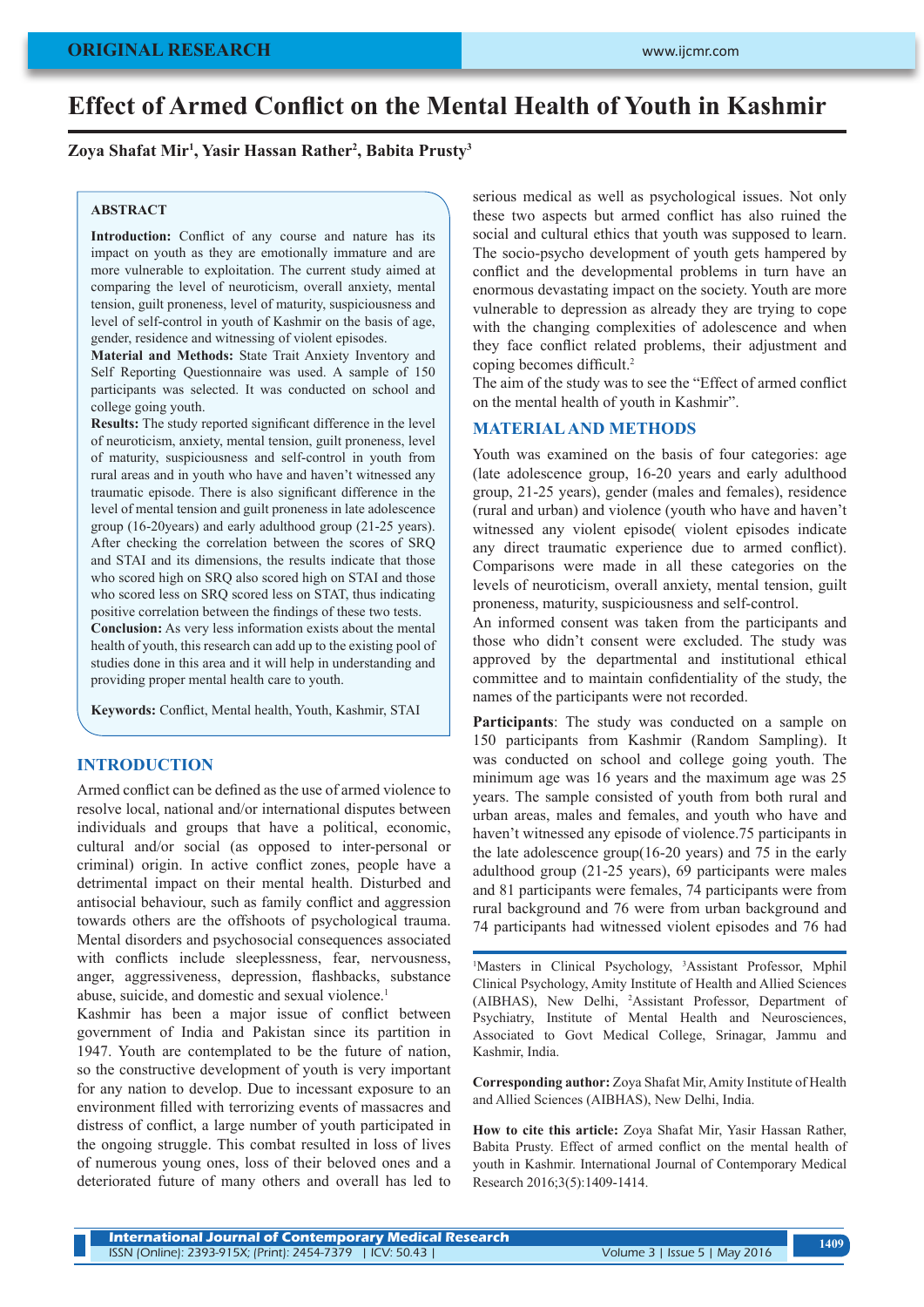# **Effect of Armed Conflict on the Mental Health of Youth in Kashmir**

**Zoya Shafat Mir<sup>1</sup> , Yasir Hassan Rather<sup>2</sup> , Babita Prusty<sup>3</sup>**

## **ABSTRACT**

Introduction: Conflict of any course and nature has its impact on youth as they are emotionally immature and are more vulnerable to exploitation. The current study aimed at comparing the level of neuroticism, overall anxiety, mental tension, guilt proneness, level of maturity, suspiciousness and level of self-control in youth of Kashmir on the basis of age, gender, residence and witnessing of violent episodes.

**Material and Methods:** State Trait Anxiety Inventory and Self Reporting Questionnaire was used. A sample of 150 participants was selected. It was conducted on school and college going youth.

**Results:** The study reported significant difference in the level of neuroticism, anxiety, mental tension, guilt proneness, level of maturity, suspiciousness and self-control in youth from rural areas and in youth who have and haven't witnessed any traumatic episode. There is also significant difference in the level of mental tension and guilt proneness in late adolescence group (16-20years) and early adulthood group (21-25 years). After checking the correlation between the scores of SRQ and STAI and its dimensions, the results indicate that those who scored high on SRQ also scored high on STAI and those who scored less on SRQ scored less on STAT, thus indicating positive correlation between the findings of these two tests.

**Conclusion:** As very less information exists about the mental health of youth, this research can add up to the existing pool of studies done in this area and it will help in understanding and providing proper mental health care to youth.

**Keywords:** Conflict, Mental health, Youth, Kashmir, STAI

# **INTRODUCTION**

Armed conflict can be defined as the use of armed violence to resolve local, national and/or international disputes between individuals and groups that have a political, economic, cultural and/or social (as opposed to inter-personal or criminal) origin. In active conflict zones, people have a detrimental impact on their mental health. Disturbed and antisocial behaviour, such as family conflict and aggression towards others are the offshoots of psychological trauma. Mental disorders and psychosocial consequences associated with conflicts include sleeplessness, fear, nervousness, anger, aggressiveness, depression, flashbacks, substance abuse, suicide, and domestic and sexual violence.<sup>1</sup>

Kashmir has been a major issue of conflict between government of India and Pakistan since its partition in 1947. Youth are contemplated to be the future of nation, so the constructive development of youth is very important for any nation to develop. Due to incessant exposure to an environment filled with terrorizing events of massacres and distress of conflict, a large number of youth participated in the ongoing struggle. This combat resulted in loss of lives of numerous young ones, loss of their beloved ones and a deteriorated future of many others and overall has led to serious medical as well as psychological issues. Not only these two aspects but armed conflict has also ruined the social and cultural ethics that youth was supposed to learn. The socio-psycho development of youth gets hampered by conflict and the developmental problems in turn have an enormous devastating impact on the society. Youth are more vulnerable to depression as already they are trying to cope with the changing complexities of adolescence and when they face conflict related problems, their adjustment and coping becomes difficult.2

The aim of the study was to see the "Effect of armed conflict on the mental health of youth in Kashmir".

#### **MATERIAL AND METHODS**

Youth was examined on the basis of four categories: age (late adolescence group, 16-20 years and early adulthood group, 21-25 years), gender (males and females), residence (rural and urban) and violence (youth who have and haven't witnessed any violent episode( violent episodes indicate any direct traumatic experience due to armed conflict). Comparisons were made in all these categories on the levels of neuroticism, overall anxiety, mental tension, guilt proneness, maturity, suspiciousness and self-control.

An informed consent was taken from the participants and those who didn't consent were excluded. The study was approved by the departmental and institutional ethical committee and to maintain confidentiality of the study, the names of the participants were not recorded.

**Participants**: The study was conducted on a sample on 150 participants from Kashmir (Random Sampling). It was conducted on school and college going youth. The minimum age was 16 years and the maximum age was 25 years. The sample consisted of youth from both rural and urban areas, males and females, and youth who have and haven't witnessed any episode of violence.75 participants in the late adolescence group(16-20 years) and 75 in the early adulthood group (21-25 years), 69 participants were males and 81 participants were females, 74 participants were from rural background and 76 were from urban background and 74 participants had witnessed violent episodes and 76 had

<sup>1</sup>Masters in Clinical Psychology, <sup>3</sup>Assistant Professor, Mphil Clinical Psychology, Amity Institute of Health and Allied Sciences (AIBHAS), New Delhi, 2 Assistant Professor, Department of Psychiatry, Institute of Mental Health and Neurosciences, Associated to Govt Medical College, Srinagar, Jammu and Kashmir, India.

**Corresponding author:** Zoya Shafat Mir, Amity Institute of Health and Allied Sciences (AIBHAS), New Delhi, India.

**How to cite this article:** Zoya Shafat Mir, Yasir Hassan Rather, Babita Prusty. Effect of armed conflict on the mental health of youth in Kashmir. International Journal of Contemporary Medical Research 2016;3(5):1409-1414.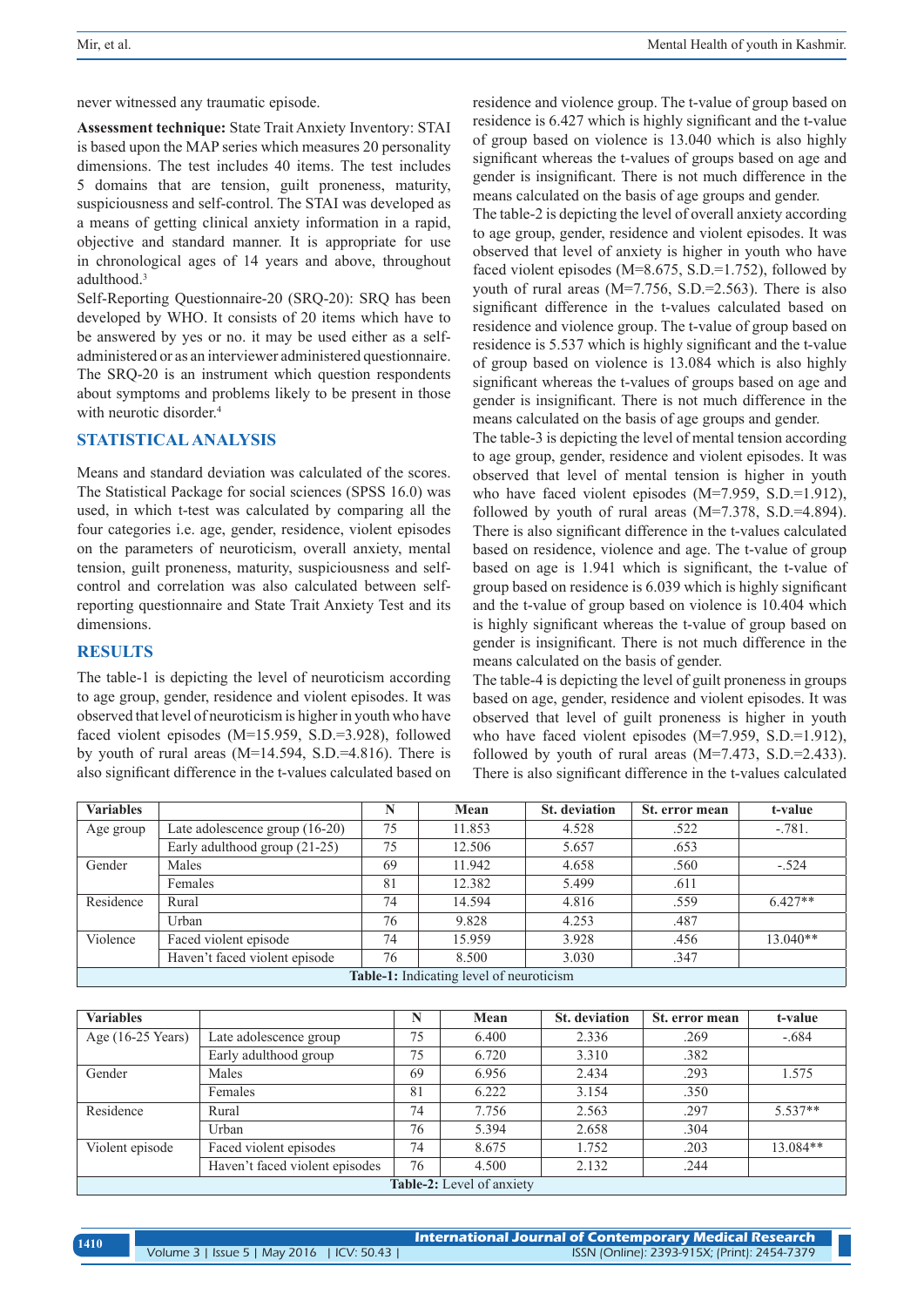never witnessed any traumatic episode.

**Assessment technique:** State Trait Anxiety Inventory: STAI is based upon the MAP series which measures 20 personality dimensions. The test includes 40 items. The test includes 5 domains that are tension, guilt proneness, maturity, suspiciousness and self-control. The STAI was developed as a means of getting clinical anxiety information in a rapid, objective and standard manner. It is appropriate for use in chronological ages of 14 years and above, throughout adulthood.<sup>3</sup>

Self-Reporting Questionnaire-20 (SRQ-20): SRQ has been developed by WHO. It consists of 20 items which have to be answered by yes or no. it may be used either as a selfadministered or as an interviewer administered questionnaire. The SRQ-20 is an instrument which question respondents about symptoms and problems likely to be present in those with neurotic disorder.<sup>4</sup>

# **STATISTICAL ANALYSIS**

Means and standard deviation was calculated of the scores. The Statistical Package for social sciences (SPSS 16.0) was used, in which t-test was calculated by comparing all the four categories i.e. age, gender, residence, violent episodes on the parameters of neuroticism, overall anxiety, mental tension, guilt proneness, maturity, suspiciousness and selfcontrol and correlation was also calculated between selfreporting questionnaire and State Trait Anxiety Test and its dimensions.

# **RESULTS**

The table-1 is depicting the level of neuroticism according to age group, gender, residence and violent episodes. It was observed that level of neuroticism is higher in youth who have faced violent episodes (M=15.959, S.D.=3.928), followed by youth of rural areas (M=14.594, S.D.=4.816). There is also significant difference in the t-values calculated based on

residence and violence group. The t-value of group based on residence is 6.427 which is highly significant and the t-value of group based on violence is 13.040 which is also highly significant whereas the t-values of groups based on age and gender is insignificant. There is not much difference in the means calculated on the basis of age groups and gender. The table-2 is depicting the level of overall anxiety according

to age group, gender, residence and violent episodes. It was observed that level of anxiety is higher in youth who have faced violent episodes (M=8.675, S.D.=1.752), followed by youth of rural areas (M=7.756, S.D.=2.563). There is also significant difference in the t-values calculated based on residence and violence group. The t-value of group based on residence is 5.537 which is highly significant and the t-value of group based on violence is 13.084 which is also highly significant whereas the t-values of groups based on age and gender is insignificant. There is not much difference in the means calculated on the basis of age groups and gender.

The table-3 is depicting the level of mental tension according to age group, gender, residence and violent episodes. It was observed that level of mental tension is higher in youth who have faced violent episodes (M=7.959, S.D.=1.912), followed by youth of rural areas  $(M=7.378, S.D.=4.894)$ . There is also significant difference in the t-values calculated based on residence, violence and age. The t-value of group based on age is 1.941 which is significant, the t-value of group based on residence is 6.039 which is highly significant and the t-value of group based on violence is 10.404 which is highly significant whereas the t-value of group based on gender is insignificant. There is not much difference in the means calculated on the basis of gender.

The table-4 is depicting the level of guilt proneness in groups based on age, gender, residence and violent episodes. It was observed that level of guilt proneness is higher in youth who have faced violent episodes (M=7.959, S.D.=1.912), followed by youth of rural areas  $(M=7.473, S.D.=2.433)$ . There is also significant difference in the t-values calculated

| <b>Variables</b> |                                  | N  | Mean                                                     | <b>St.</b> deviation | St. error mean | t-value    |
|------------------|----------------------------------|----|----------------------------------------------------------|----------------------|----------------|------------|
| Age group        | Late adolescence group $(16-20)$ | 75 | 11.853                                                   | 4.528                | .522           | $-.781.$   |
|                  | Early adulthood group (21-25)    | 75 | 12.506                                                   | 5.657                | .653           |            |
| Gender           | Males                            | 69 | 11.942                                                   | 4.658                | .560           | $-.524$    |
|                  | Females                          | 81 | 12.382                                                   | 5.499                | .611           |            |
| Residence        | Rural                            | 74 | 14.594                                                   | 4.816                | .559           | $6.427**$  |
|                  | Urban                            | 76 | 9.828                                                    | 4.253                | .487           |            |
| Violence         | Faced violent episode            | 74 | 15.959                                                   | 3.928                | .456           | $13.040**$ |
|                  | Haven't faced violent episode    | 76 | 8.500                                                    | 3.030                | .347           |            |
|                  |                                  |    | $\mathbf{Table 1} \cdot$ Indicating level of neuroticism |                      |                |            |

**Table-1:** Indicating level of neuroticism

| <b>Variables</b>  |                                | N  | Mean                             | <b>St.</b> deviation | St. error mean | t-value   |
|-------------------|--------------------------------|----|----------------------------------|----------------------|----------------|-----------|
| Age (16-25 Years) | Late adolescence group         | 75 | 6.400                            | 2.336                | .269           | $-.684$   |
|                   | Early adulthood group          | 75 | 6.720                            | 3.310                | .382           |           |
| Gender            | Males                          | 69 | 6.956                            | 2.434                | .293           | 1.575     |
|                   | Females                        | 81 | 6.222                            | 3.154                | .350           |           |
| Residence         | Rural                          | 74 | 7.756                            | 2.563                | .297           | $5.537**$ |
|                   | Urban                          | 76 | 5.394                            | 2.658                | .304           |           |
| Violent episode   | Faced violent episodes         | 74 | 8.675                            | 1.752                | .203           | 13.084**  |
|                   | Haven't faced violent episodes | 76 | 4.500                            | 2.132                | .244           |           |
|                   |                                |    | <b>Table-2:</b> Level of anxiety |                      |                |           |

| 1410 |                                            | $\,$ International Journal of Contemporary Medical Research $\,$ |
|------|--------------------------------------------|------------------------------------------------------------------|
|      | Volume 3   Issue 5   May 2016   ICV: 50.43 | ISSN (Online): 2393-915X; (Print): 2454-7379                     |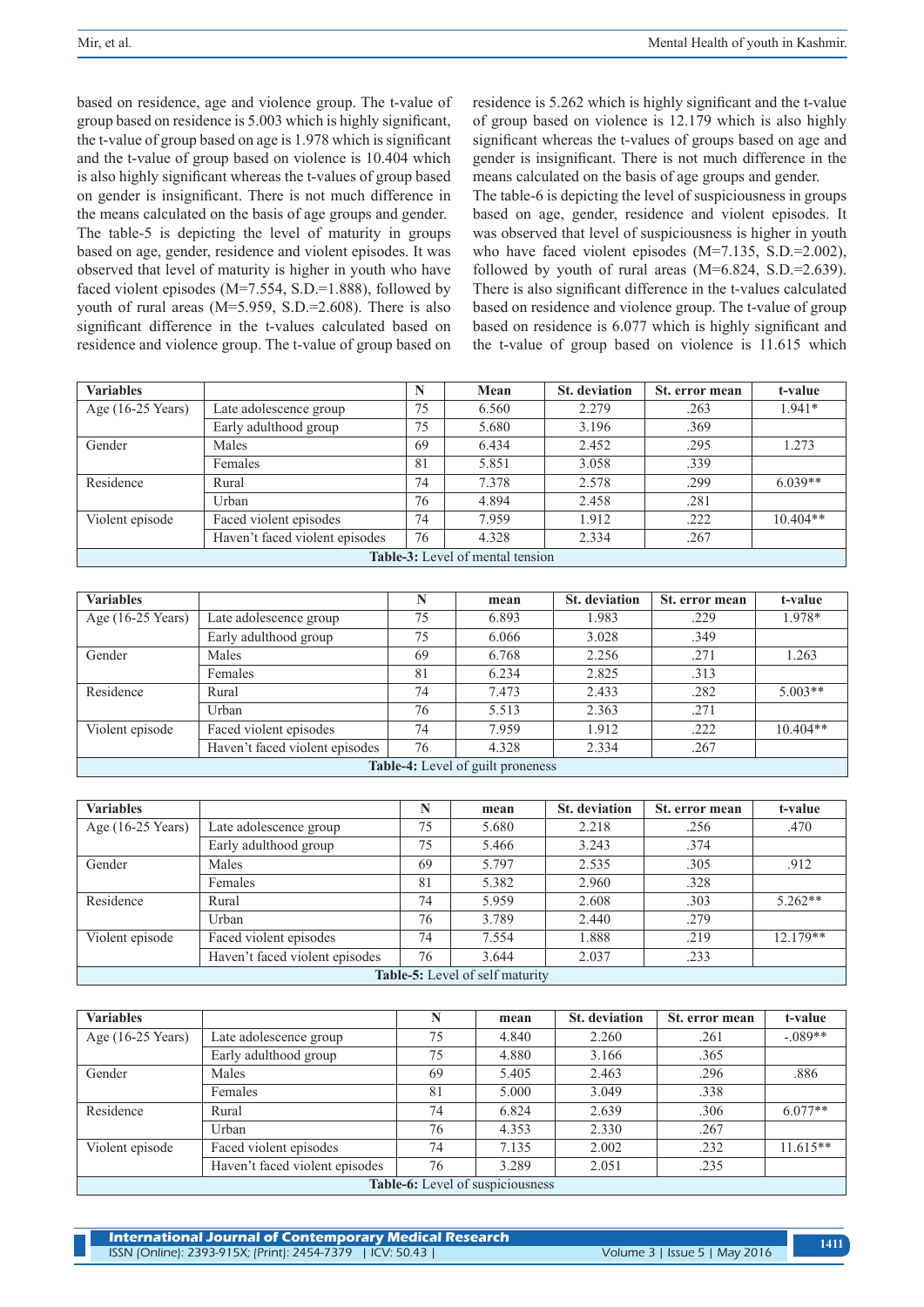based on residence, age and violence group. The t-value of group based on residence is 5.003 which is highly significant, the t-value of group based on age is 1.978 which is significant and the t-value of group based on violence is 10.404 which is also highly significant whereas the t-values of group based on gender is insignificant. There is not much difference in the means calculated on the basis of age groups and gender. The table-5 is depicting the level of maturity in groups based on age, gender, residence and violent episodes. It was observed that level of maturity is higher in youth who have faced violent episodes (M=7.554, S.D.=1.888), followed by youth of rural areas (M=5.959, S.D.=2.608). There is also significant difference in the t-values calculated based on residence and violence group. The t-value of group based on

residence is 5.262 which is highly significant and the t-value of group based on violence is 12.179 which is also highly significant whereas the t-values of groups based on age and gender is insignificant. There is not much difference in the means calculated on the basis of age groups and gender. The table-6 is depicting the level of suspiciousness in groups based on age, gender, residence and violent episodes. It was observed that level of suspiciousness is higher in youth who have faced violent episodes (M=7.135, S.D.=2.002), followed by youth of rural areas  $(M=6.824, S.D.=2.639)$ . There is also significant difference in the t-values calculated based on residence and violence group. The t-value of group based on residence is 6.077 which is highly significant and the t-value of group based on violence is 11.615 which

| <b>Variables</b>  |                                |    | Mean                                    | <b>St.</b> deviation | St. error mean | t-value    |
|-------------------|--------------------------------|----|-----------------------------------------|----------------------|----------------|------------|
| Age (16-25 Years) | Late adolescence group         | 75 | 6.560                                   | 2.279                | .263           | $1.941*$   |
|                   | Early adulthood group          | 75 | 5.680                                   | 3.196                | .369           |            |
| Gender            | Males                          | 69 | 6.434                                   | 2.452                | .295           | 1.273      |
|                   | Females                        | 81 | 5.851                                   | 3.058                | .339           |            |
| Residence         | Rural                          | 74 | 7.378                                   | 2.578                | .299           | $6.039**$  |
|                   | Urban                          | 76 | 4.894                                   | 2.458                | .281           |            |
| Violent episode   | Faced violent episodes         | 74 | 7.959                                   | 1.912                | .222           | $10.404**$ |
|                   | Haven't faced violent episodes | 76 | 4.328                                   | 2.334                | .267           |            |
|                   |                                |    | <b>Table-3:</b> Level of mental tension |                      |                |            |

| <b>Variables</b>    |                                | N  | mean                              | <b>St.</b> deviation | St. error mean | t-value    |
|---------------------|--------------------------------|----|-----------------------------------|----------------------|----------------|------------|
| Age $(16-25$ Years) | Late adolescence group         | 75 | 6.893                             | 1.983                | .229           | 1.978*     |
|                     | Early adulthood group          | 75 | 6.066                             | 3.028                | .349           |            |
| Gender              | Males                          | 69 | 6.768                             | 2.256                | .271           | 1.263      |
|                     | Females                        | 81 | 6.234                             | 2.825                | .313           |            |
| Residence           | Rural                          | 74 | 7.473                             | 2.433                | .282           | $5.003**$  |
|                     | Urban                          | 76 | 5.513                             | 2.363                | .271           |            |
| Violent episode     | Faced violent episodes         | 74 | 7.959                             | 1.912                | .222           | $10.404**$ |
|                     | Haven't faced violent episodes | 76 | 4.328                             | 2.334                | .267           |            |
|                     |                                |    | Table-4: Level of guilt proneness |                      |                |            |

| <b>Variables</b>  |                                 | N  | mean  | <b>St.</b> deviation | St. error mean | t-value    |  |  |  |  |
|-------------------|---------------------------------|----|-------|----------------------|----------------|------------|--|--|--|--|
| Age (16-25 Years) | Late adolescence group          | 75 | 5.680 | 2.218                | .256           | .470       |  |  |  |  |
|                   | Early adulthood group           | 75 | 5.466 | 3.243                | .374           |            |  |  |  |  |
| Gender            | Males                           | 69 | 5.797 | 2.535                | .305           | .912       |  |  |  |  |
|                   | Females                         | 81 | 5.382 | 2.960                | .328           |            |  |  |  |  |
| Residence         | Rural                           | 74 | 5.959 | 2.608                | .303           | $5.262**$  |  |  |  |  |
|                   | Urban                           | 76 | 3.789 | 2.440                | .279           |            |  |  |  |  |
| Violent episode   | Faced violent episodes          | 74 | 7.554 | 1.888                | .219           | $12.179**$ |  |  |  |  |
|                   | Haven't faced violent episodes  | 76 | 3.644 | 2.037                | .233           |            |  |  |  |  |
|                   | Table-5: Level of self maturity |    |       |                      |                |            |  |  |  |  |

| <b>Variables</b>                 |                                | N  | mean  | <b>St.</b> deviation | St. error mean | t-value    |  |  |  |
|----------------------------------|--------------------------------|----|-------|----------------------|----------------|------------|--|--|--|
| Age (16-25 Years)                | Late adolescence group         | 75 | 4.840 | 2.260                | .261           | $-.089**$  |  |  |  |
|                                  | Early adulthood group          | 75 | 4.880 | 3.166                | .365           |            |  |  |  |
| Gender                           | Males                          | 69 | 5.405 | 2.463                | .296           | .886       |  |  |  |
|                                  | Females                        | 81 | 5.000 | 3.049                | .338           |            |  |  |  |
| Residence                        | Rural                          | 74 | 6.824 | 2.639                | .306           | $6.077**$  |  |  |  |
|                                  | Urban                          | 76 | 4.353 | 2.330                | .267           |            |  |  |  |
| Violent episode                  | Faced violent episodes         | 74 | 7.135 | 2.002                | .232           | $11.615**$ |  |  |  |
|                                  | Haven't faced violent episodes | 76 | 3.289 | 2.051                | .235           |            |  |  |  |
| Table-6: Level of suspiciousness |                                |    |       |                      |                |            |  |  |  |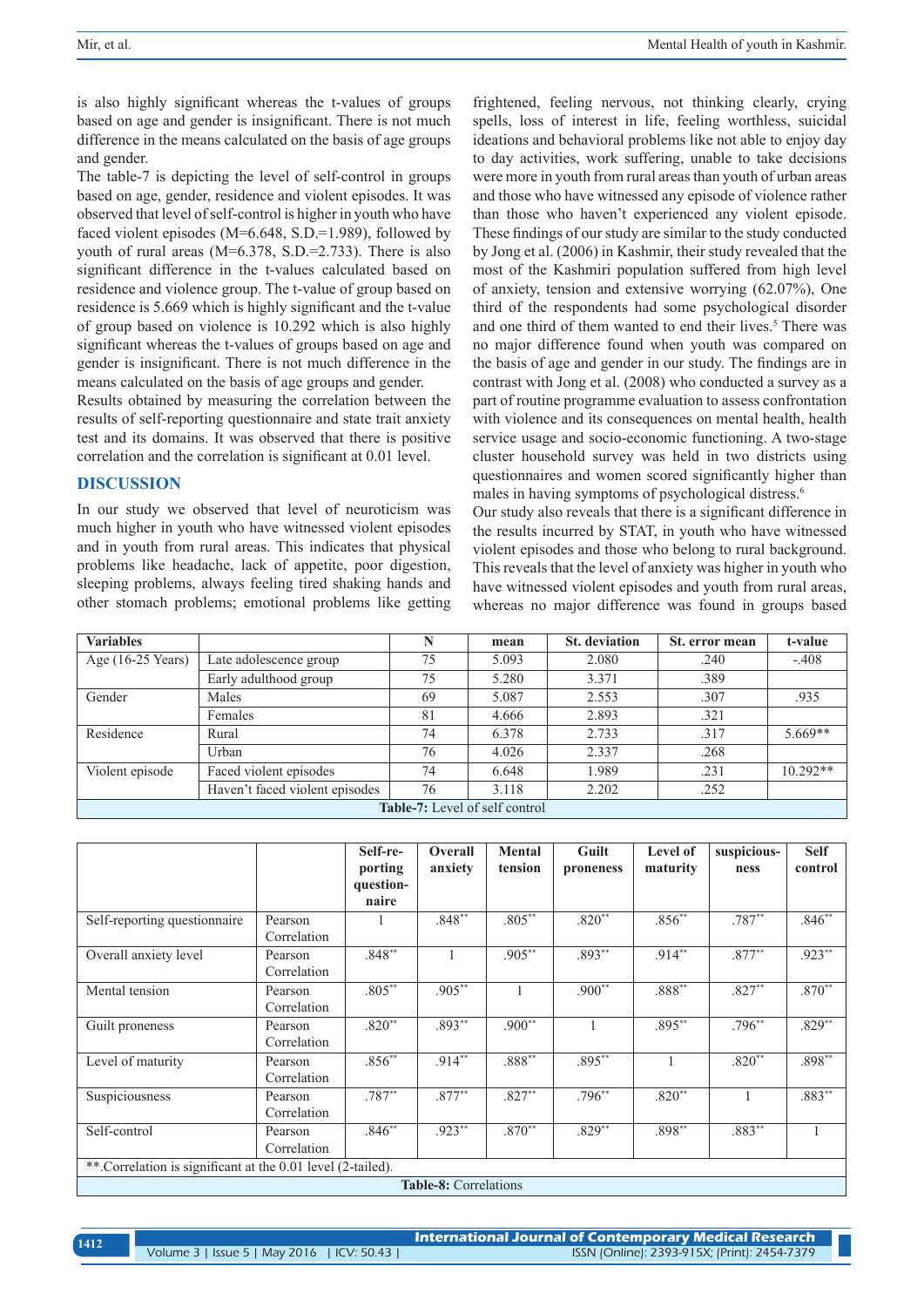is also highly significant whereas the t-values of groups based on age and gender is insignificant. There is not much difference in the means calculated on the basis of age groups and gender.

The table-7 is depicting the level of self-control in groups based on age, gender, residence and violent episodes. It was observed that level of self-control is higher in youth who have faced violent episodes (M=6.648, S.D.=1.989), followed by youth of rural areas (M=6.378, S.D.=2.733). There is also significant difference in the t-values calculated based on residence and violence group. The t-value of group based on residence is 5.669 which is highly significant and the t-value of group based on violence is 10.292 which is also highly significant whereas the t-values of groups based on age and gender is insignificant. There is not much difference in the means calculated on the basis of age groups and gender.

Results obtained by measuring the correlation between the results of self-reporting questionnaire and state trait anxiety test and its domains. It was observed that there is positive correlation and the correlation is significant at 0.01 level.

## **DISCUSSION**

In our study we observed that level of neuroticism was much higher in youth who have witnessed violent episodes and in youth from rural areas. This indicates that physical problems like headache, lack of appetite, poor digestion, sleeping problems, always feeling tired shaking hands and other stomach problems; emotional problems like getting

frightened, feeling nervous, not thinking clearly, crying spells, loss of interest in life, feeling worthless, suicidal ideations and behavioral problems like not able to enjoy day to day activities, work suffering, unable to take decisions were more in youth from rural areas than youth of urban areas and those who have witnessed any episode of violence rather than those who haven't experienced any violent episode. These findings of our study are similar to the study conducted by Jong et al. (2006) in Kashmir, their study revealed that the most of the Kashmiri population suffered from high level of anxiety, tension and extensive worrying (62.07%), One third of the respondents had some psychological disorder and one third of them wanted to end their lives.<sup>5</sup> There was no major difference found when youth was compared on the basis of age and gender in our study. The findings are in contrast with Jong et al. (2008) who conducted a survey as a part of routine programme evaluation to assess confrontation with violence and its consequences on mental health, health service usage and socio-economic functioning. A two-stage cluster household survey was held in two districts using questionnaires and women scored significantly higher than males in having symptoms of psychological distress.<sup>6</sup>

Our study also reveals that there is a significant difference in the results incurred by STAT, in youth who have witnessed violent episodes and those who belong to rural background. This reveals that the level of anxiety was higher in youth who have witnessed violent episodes and youth from rural areas, whereas no major difference was found in groups based

| <b>Variables</b>  |                                       | N  | mean  | <b>St.</b> deviation | St. error mean | t-value    |  |  |  |  |
|-------------------|---------------------------------------|----|-------|----------------------|----------------|------------|--|--|--|--|
| Age (16-25 Years) | Late adolescence group                | 75 | 5.093 | 2.080                | .240           | $-.408$    |  |  |  |  |
|                   | Early adulthood group                 | 75 | 5.280 | 3.371                | .389           |            |  |  |  |  |
| Gender            | Males                                 | 69 | 5.087 | 2.553                | .307           | .935       |  |  |  |  |
|                   | Females                               | 81 | 4.666 | 2.893                | .321           |            |  |  |  |  |
| Residence         | Rural                                 | 74 | 6.378 | 2.733                | .317           | $5.669**$  |  |  |  |  |
|                   | Urban                                 | 76 | 4.026 | 2.337                | .268           |            |  |  |  |  |
| Violent episode   | Faced violent episodes                | 74 | 6.648 | 1.989                | .231           | $10.292**$ |  |  |  |  |
|                   | Haven't faced violent episodes        | 76 | 3.118 | 2.202                | .252           |            |  |  |  |  |
|                   | <b>Table-7:</b> Level of self control |    |       |                      |                |            |  |  |  |  |

|                                                             |                              | Self-re-  | Overall  | <b>Mental</b> | Guilt     | Level of  | suspicious- | <b>Self</b> |  |  |
|-------------------------------------------------------------|------------------------------|-----------|----------|---------------|-----------|-----------|-------------|-------------|--|--|
|                                                             |                              | porting   | anxiety  | tension       | proneness | maturity  | ness        | control     |  |  |
|                                                             |                              | question- |          |               |           |           |             |             |  |  |
|                                                             |                              | naire     |          |               |           |           |             |             |  |  |
| Self-reporting questionnaire                                | Pearson                      |           | $.848**$ | $.805***$     | $.820**$  | $.856***$ | $.787***$   | $.846***$   |  |  |
|                                                             | Correlation                  |           |          |               |           |           |             |             |  |  |
| Overall anxiety level                                       | Pearson                      | $.848**$  | 1        | .905**        | $.893**$  | $.914**$  | $.877**$    | $.923**$    |  |  |
|                                                             | Correlation                  |           |          |               |           |           |             |             |  |  |
| Mental tension                                              | Pearson                      | $.805***$ | $.905**$ |               | $.900**$  | $.888***$ | $.827**$    | $.870**$    |  |  |
|                                                             | Correlation                  |           |          |               |           |           |             |             |  |  |
| Guilt proneness                                             | Pearson                      | $.820**$  | .893**   | $.900**$      |           | $.895**$  | $.796***$   | $.829**$    |  |  |
|                                                             | Correlation                  |           |          |               |           |           |             |             |  |  |
| Level of maturity                                           | Pearson                      | $.856**$  | $.914**$ | $.888***$     | $.895***$ |           | $.820**$    | $.898***$   |  |  |
|                                                             | Correlation                  |           |          |               |           |           |             |             |  |  |
| Suspiciousness                                              | Pearson                      | $.787**$  | $.877**$ | $.827**$      | $.796***$ | $.820**$  |             | $.883***$   |  |  |
|                                                             | Correlation                  |           |          |               |           |           |             |             |  |  |
| Self-control                                                | Pearson                      | $.846**$  | $.923**$ | $.870**$      | $.829**$  | $.898**$  | $.883**$    |             |  |  |
|                                                             | Correlation                  |           |          |               |           |           |             |             |  |  |
| **.Correlation is significant at the 0.01 level (2-tailed). |                              |           |          |               |           |           |             |             |  |  |
|                                                             | <b>Table-8: Correlations</b> |           |          |               |           |           |             |             |  |  |

**1412**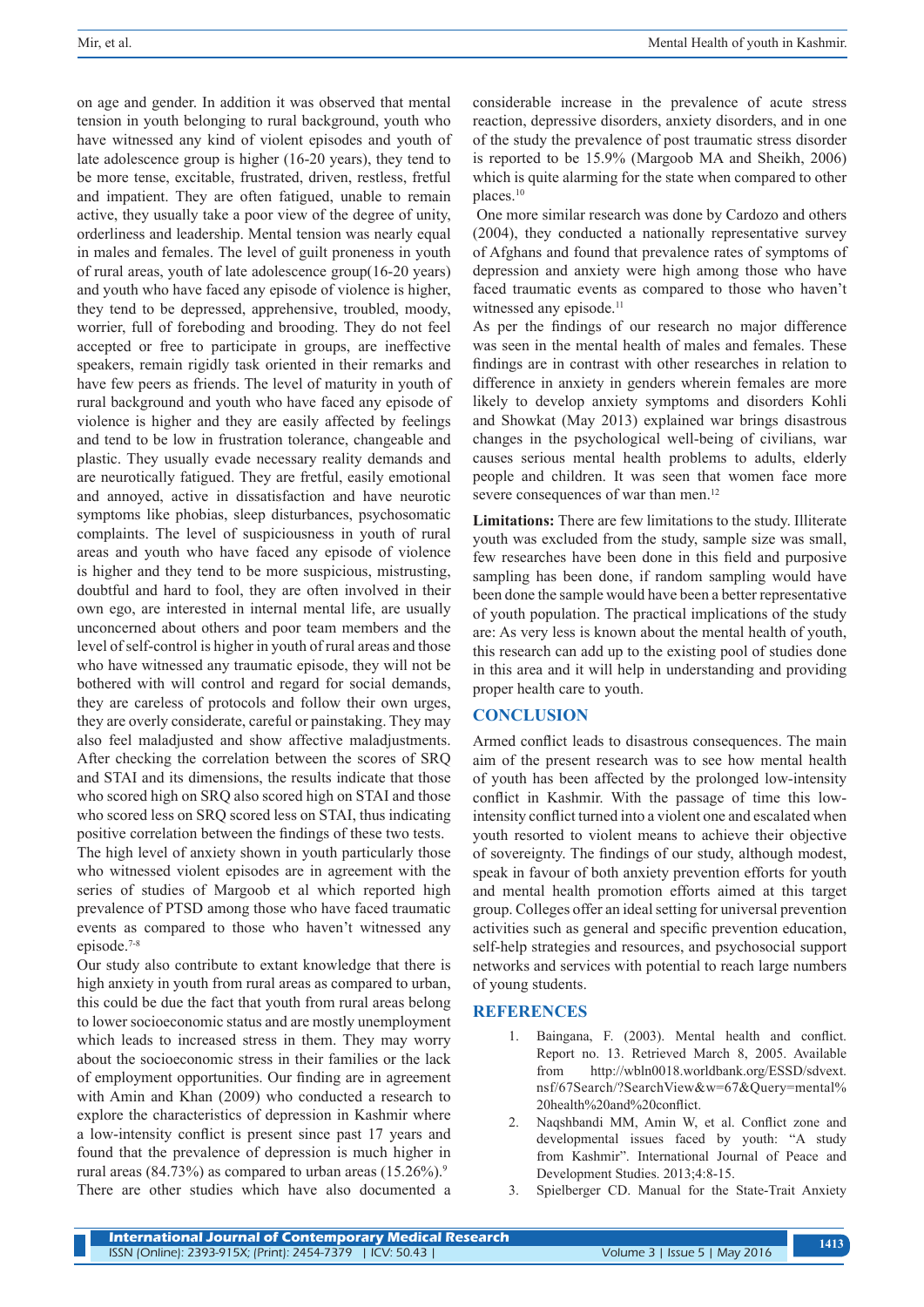on age and gender. In addition it was observed that mental tension in youth belonging to rural background, youth who have witnessed any kind of violent episodes and youth of late adolescence group is higher (16-20 years), they tend to be more tense, excitable, frustrated, driven, restless, fretful and impatient. They are often fatigued, unable to remain active, they usually take a poor view of the degree of unity, orderliness and leadership. Mental tension was nearly equal in males and females. The level of guilt proneness in youth of rural areas, youth of late adolescence group(16-20 years) and youth who have faced any episode of violence is higher, they tend to be depressed, apprehensive, troubled, moody, worrier, full of foreboding and brooding. They do not feel accepted or free to participate in groups, are ineffective speakers, remain rigidly task oriented in their remarks and have few peers as friends. The level of maturity in youth of rural background and youth who have faced any episode of violence is higher and they are easily affected by feelings and tend to be low in frustration tolerance, changeable and plastic. They usually evade necessary reality demands and are neurotically fatigued. They are fretful, easily emotional and annoyed, active in dissatisfaction and have neurotic symptoms like phobias, sleep disturbances, psychosomatic complaints. The level of suspiciousness in youth of rural areas and youth who have faced any episode of violence is higher and they tend to be more suspicious, mistrusting, doubtful and hard to fool, they are often involved in their own ego, are interested in internal mental life, are usually unconcerned about others and poor team members and the level of self-control is higher in youth of rural areas and those who have witnessed any traumatic episode, they will not be bothered with will control and regard for social demands, they are careless of protocols and follow their own urges, they are overly considerate, careful or painstaking. They may also feel maladjusted and show affective maladjustments. After checking the correlation between the scores of SRQ and STAI and its dimensions, the results indicate that those who scored high on SRQ also scored high on STAI and those who scored less on SRQ scored less on STAI, thus indicating positive correlation between the findings of these two tests. The high level of anxiety shown in youth particularly those who witnessed violent episodes are in agreement with the series of studies of Margoob et al which reported high prevalence of PTSD among those who have faced traumatic events as compared to those who haven't witnessed any episode.7-8

Our study also contribute to extant knowledge that there is high anxiety in youth from rural areas as compared to urban, this could be due the fact that youth from rural areas belong to lower socioeconomic status and are mostly unemployment which leads to increased stress in them. They may worry about the socioeconomic stress in their families or the lack of employment opportunities. Our finding are in agreement with Amin and Khan (2009) who conducted a research to explore the characteristics of depression in Kashmir where a low-intensity conflict is present since past 17 years and found that the prevalence of depression is much higher in rural areas (84.73%) as compared to urban areas  $(15.26\%)$ .<sup>9</sup> There are other studies which have also documented a considerable increase in the prevalence of acute stress reaction, depressive disorders, anxiety disorders, and in one of the study the prevalence of post traumatic stress disorder is reported to be 15.9% (Margoob MA and Sheikh, 2006) which is quite alarming for the state when compared to other places.10

 One more similar research was done by Cardozo and others (2004), they conducted a nationally representative survey of Afghans and found that prevalence rates of symptoms of depression and anxiety were high among those who have faced traumatic events as compared to those who haven't witnessed any episode.<sup>11</sup>

As per the findings of our research no major difference was seen in the mental health of males and females. These findings are in contrast with other researches in relation to difference in anxiety in genders wherein females are more likely to develop anxiety symptoms and disorders Kohli and Showkat (May 2013) explained war brings disastrous changes in the psychological well-being of civilians, war causes serious mental health problems to adults, elderly people and children. It was seen that women face more severe consequences of war than men.<sup>12</sup>

**Limitations:** There are few limitations to the study. Illiterate youth was excluded from the study, sample size was small, few researches have been done in this field and purposive sampling has been done, if random sampling would have been done the sample would have been a better representative of youth population. The practical implications of the study are: As very less is known about the mental health of youth, this research can add up to the existing pool of studies done in this area and it will help in understanding and providing proper health care to youth.

## **CONCLUSION**

Armed conflict leads to disastrous consequences. The main aim of the present research was to see how mental health of youth has been affected by the prolonged low-intensity conflict in Kashmir. With the passage of time this lowintensity conflict turned into a violent one and escalated when youth resorted to violent means to achieve their objective of sovereignty. The findings of our study, although modest, speak in favour of both anxiety prevention efforts for youth and mental health promotion efforts aimed at this target group. Colleges offer an ideal setting for universal prevention activities such as general and specific prevention education, self-help strategies and resources, and psychosocial support networks and services with potential to reach large numbers of young students.

## **REFERENCES**

- Baingana, F. (2003). Mental health and conflict. Report no. 13. Retrieved March 8, 2005. Available from http://wbln0018.worldbank.org/ESSD/sdvext. nsf/67Search/?SearchView&w=67&Query=mental% 20health%20and%20conflict.
- 2. Naqshbandi MM, Amin W, et al. Conflict zone and developmental issues faced by youth: "A study from Kashmir". International Journal of Peace and Development Studies. 2013;4:8-15.
- 3. Spielberger CD. Manual for the State-Trait Anxiety